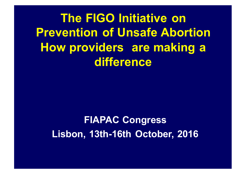**The FIGO Initiative on Prevention of Unsafe Abortion How providers are making a difference**

**FIAPAC Congress Lisbon, 13th-16th October, 2016**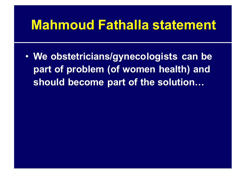### **Mahmoud Fathalla statement**

• **We obstetricians/gynecologists can be part of problem (of women health) and should become part of the solution…**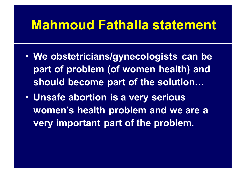### **Mahmoud Fathalla statement**

- **We obstetricians/gynecologists can be part of problem (of women health) and should become part of the solution…**
- **Unsafe abortion is a very serious women's health problem and we are a very important part of the problem.**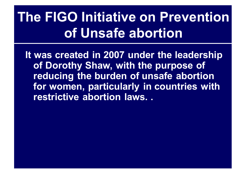# **The FIGO Initiative on Prevention of Unsafe abortion**

**It was created in 2007 under the leadership of Dorothy Shaw, with the purpose of reducing the burden of unsafe abortion for women, particularly in countries with restrictive abortion laws. .**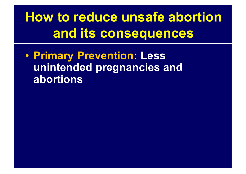• **Primary Prevention: Less unintended pregnancies and abortions**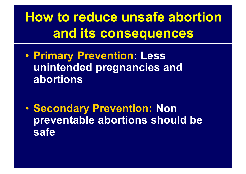• **Primary Prevention: Less unintended pregnancies and abortions**

• **Secondary Prevention: Non preventable abortions should be safe**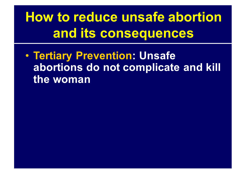• **Tertiary Prevention: Unsafe abortions do not complicate and kill the woman**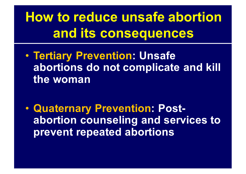• **Tertiary Prevention: Unsafe abortions do not complicate and kill the woman**

• **Quaternary Prevention: Postabortion counseling and services to prevent repeated abortions**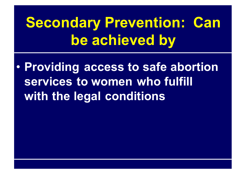# **Secondary Prevention: Can be achieved by**

• **Providing access to safe abortion services to women who fulfill with the legal conditions**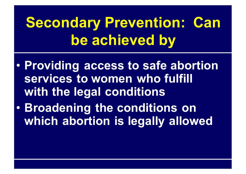# **Secondary Prevention: Can be achieved by**

- **Providing access to safe abortion services to women who fulfill with the legal conditions**
- **Broadening the conditions on which abortion is legally allowed**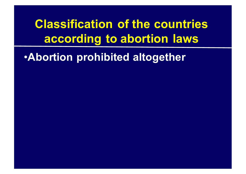•**Abortion prohibited altogether**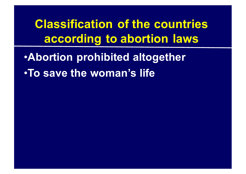•**Abortion prohibited altogether** •**To save the woman's life**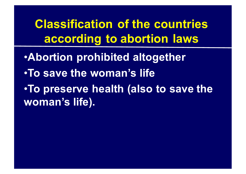•**Abortion prohibited altogether** •**To save the woman's life**  •**To preserve health (also to save the woman's life).**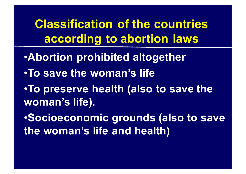- •**Abortion prohibited altogether**
- •**To save the woman's life**
- •**To preserve health (also to save the woman's life).**

•**Socioeconomic grounds (also to save the woman's life and health)**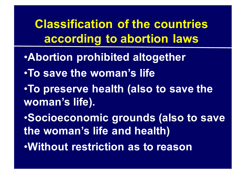- •**Abortion prohibited altogether**
- •**To save the woman's life**
- •**To preserve health (also to save the woman's life).**
- •**Socioeconomic grounds (also to save the woman's life and health)** •**Without restriction as to reason**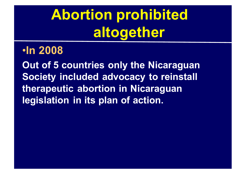# **Abortion prohibited altogether**

#### •**In 2008**

**Out of 5 countries only the Nicaraguan Society included advocacy to reinstall therapeutic abortion in Nicaraguan legislation in its plan of action.**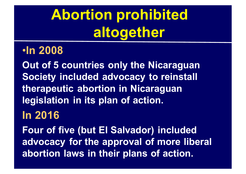# **Abortion prohibited altogether**

#### •**In 2008**

**Out of 5 countries only the Nicaraguan Society included advocacy to reinstall therapeutic abortion in Nicaraguan legislation in its plan of action.**

### **In 2016**

**Four of five (but El Salvador) included advocacy for the approval of more liberal abortion laws in their plans of action.**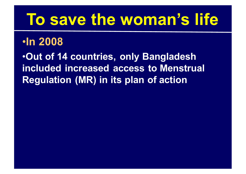# **To save the woman's life**

### •**In 2008**

•**Out of 14 countries, only Bangladesh included increased access to Menstrual Regulation (MR) in its plan of action**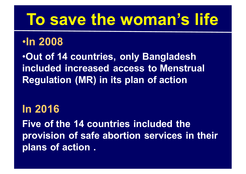# **To save the woman's life**

#### •**In 2008**

•**Out of 14 countries, only Bangladesh included increased access to Menstrual Regulation (MR) in its plan of action**

**In 2016 Five of the 14 countries included the provision of safe abortion services in their plans of action .**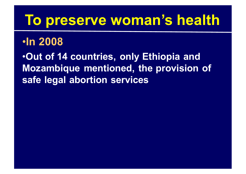### **To preserve woman's health**

### •**In 2008**

•**Out of 14 countries, only Ethiopia and Mozambique mentioned, the provision of safe legal abortion services**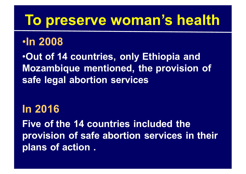### **To preserve woman's health**

### •**In 2008**

•**Out of 14 countries, only Ethiopia and Mozambique mentioned, the provision of safe legal abortion services**

**In 2016 Five of the 14 countries included the provision of safe abortion services in their plans of action .**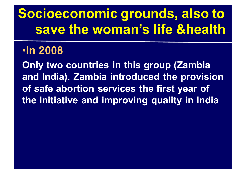# **Socioeconomic grounds, also to save the woman's life &health**

#### •**In 2008**

**Only two countries in this group (Zambia and India). Zambia introduced the provision of safe abortion services the first year of the Initiative and improving quality in India**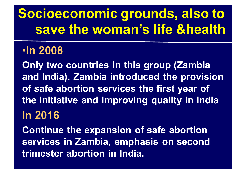# **Socioeconomic grounds, also to save the woman's life &health**

### •**In 2008**

**Only two countries in this group (Zambia and India). Zambia introduced the provision of safe abortion services the first year of the Initiative and improving quality in India In 2016 Continue the expansion of safe abortion** 

**services in Zambia, emphasis on second trimester abortion in India.**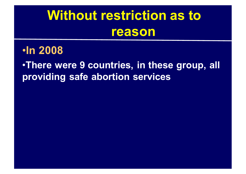## **Without restriction as to reason**

#### •**In 2008**

•**There were 9 countries, in these group, all providing safe abortion services**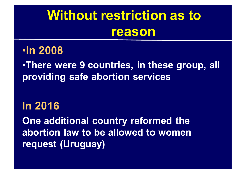## **Without restriction as to reason**

#### •**In 2008**

•**There were 9 countries, in these group, all providing safe abortion services** 

**In 2016**

**One additional country reformed the abortion law to be allowed to women request (Uruguay)**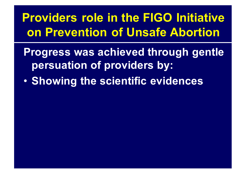**Providers role in the FIGO Initiative on Prevention of Unsafe Abortion**

- **Progress was achieved through gentle persuation of providers by:**
- **Showing the scientific evidences**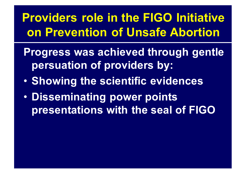**Providers role in the FIGO Initiative on Prevention of Unsafe Abortion**

- **Progress was achieved through gentle persuation of providers by:**
- **Showing the scientific evidences**
- **Disseminating power points presentations with the seal of FIGO**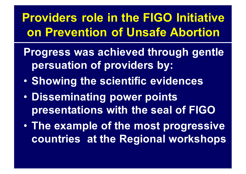**Providers role in the FIGO Initiative on Prevention of Unsafe Abortion**

- **Progress was achieved through gentle persuation of providers by:**
- **Showing the scientific evidences**
- **Disseminating power points presentations with the seal of FIGO**
- **The example of the most progressive countries at the Regional workshops**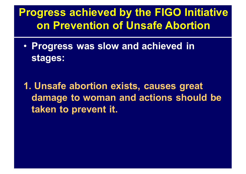### **Progress achieved by the FIGO Initiative on Prevention of Unsafe Abortion**

• **Progress was slow and achieved in stages:**

**1. Unsafe abortion exists, causes great damage to woman and actions should be taken to prevent it.**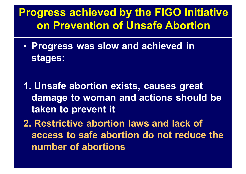### **Progress achieved by the FIGO Initiative on Prevention of Unsafe Abortion**

- **Progress was slow and achieved in stages:**
- **1. Unsafe abortion exists, causes great damage to woman and actions should be taken to prevent it**
- **2. Restrictive abortion laws and lack of access to safe abortion do not reduce the number of abortions**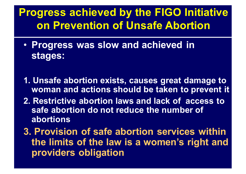### **Progress achieved by the FIGO Initiative on Prevention of Unsafe Abortion**

- **Progress was slow and achieved in stages:**
- **1. Unsafe abortion exists, causes great damage to woman and actions should be taken to prevent it**
- **2. Restrictive abortion laws and lack of access to safe abortion do not reduce the number of abortions**
- **3. Provision of safe abortion services within the limits of the law is a women's right and providers obligation**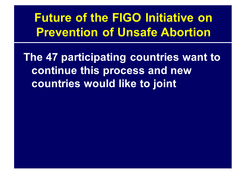### **Future of the FIGO Initiative on Prevention of Unsafe Abortion**

**The 47 participating countries want to continue this process and new countries would like to joint**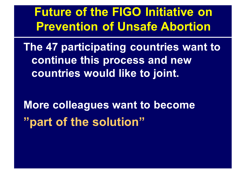**Future of the FIGO Initiative on Prevention of Unsafe Abortion**

**The 47 participating countries want to continue this process and new countries would like to joint.**

**More colleagues want to become "part of the solution"**